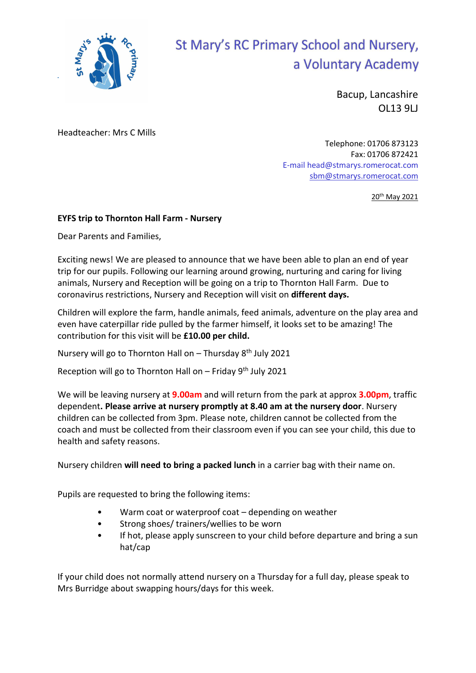

## St Mary's RC Primary School and Nursery, a Voluntary Academy

Bacup, Lancashire OL13 9LJ

Headteacher: Mrs C Mills

Telephone: 01706 873123 Fax: 01706 872421 E-mail head@stmarys.romerocat.com sbm@stmarys.romerocat.com

20<sup>th</sup> May 2021

## EYFS trip to Thornton Hall Farm - Nursery

Dear Parents and Families,

Exciting news! We are pleased to announce that we have been able to plan an end of year trip for our pupils. Following our learning around growing, nurturing and caring for living animals, Nursery and Reception will be going on a trip to Thornton Hall Farm. Due to coronavirus restrictions, Nursery and Reception will visit on different days.

Children will explore the farm, handle animals, feed animals, adventure on the play area and even have caterpillar ride pulled by the farmer himself, it looks set to be amazing! The contribution for this visit will be £10.00 per child.

Nursery will go to Thornton Hall on – Thursday 8th July 2021

Reception will go to Thornton Hall on  $-$  Friday 9<sup>th</sup> July 2021

We will be leaving nursery at **9.00am** and will return from the park at approx **3.00pm**, traffic dependent. Please arrive at nursery promptly at 8.40 am at the nursery door. Nursery children can be collected from 3pm. Please note, children cannot be collected from the coach and must be collected from their classroom even if you can see your child, this due to health and safety reasons.

Nursery children will need to bring a packed lunch in a carrier bag with their name on.

Pupils are requested to bring the following items:

- Warm coat or waterproof coat  $-$  depending on weather
- Strong shoes/ trainers/wellies to be worn
- If hot, please apply sunscreen to your child before departure and bring a sun hat/cap

If your child does not normally attend nursery on a Thursday for a full day, please speak to Mrs Burridge about swapping hours/days for this week.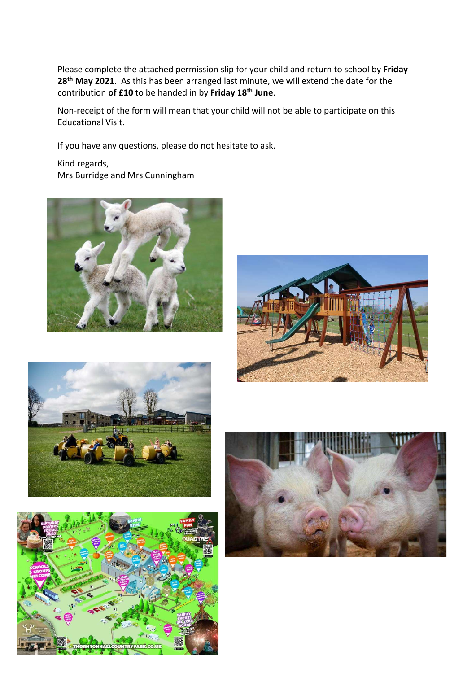Please complete the attached permission slip for your child and return to school by Friday 28<sup>th</sup> May 2021. As this has been arranged last minute, we will extend the date for the contribution of £10 to be handed in by Friday 18<sup>th</sup> June.

Non-receipt of the form will mean that your child will not be able to participate on this Educational Visit.

If you have any questions, please do not hesitate to ask.

Kind regards, Mrs Burridge and Mrs Cunningham